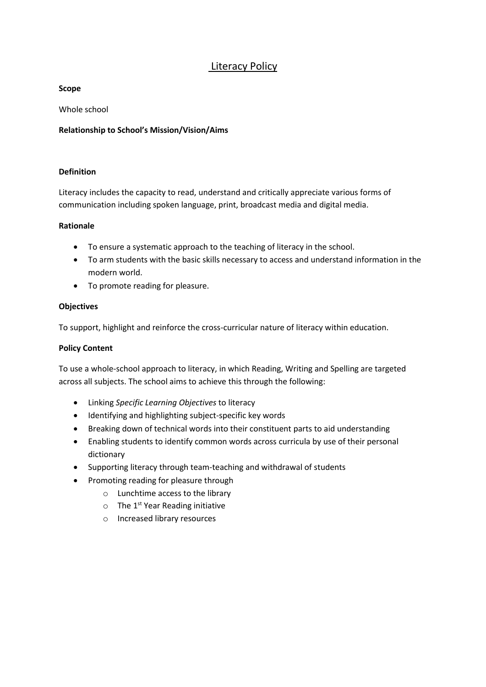# Literacy Policy

#### **Scope**

Whole school

## **Relationship to School's Mission/Vision/Aims**

## **Definition**

Literacy includes the capacity to read, understand and critically appreciate various forms of communication including spoken language, print, broadcast media and digital media.

#### **Rationale**

- To ensure a systematic approach to the teaching of literacy in the school.
- To arm students with the basic skills necessary to access and understand information in the modern world.
- To promote reading for pleasure.

## **Objectives**

To support, highlight and reinforce the cross-curricular nature of literacy within education.

### **Policy Content**

To use a whole-school approach to literacy, in which Reading, Writing and Spelling are targeted across all subjects. The school aims to achieve this through the following:

- Linking *Specific Learning Objectives* to literacy
- Identifying and highlighting subject-specific key words
- Breaking down of technical words into their constituent parts to aid understanding
- Enabling students to identify common words across curricula by use of their personal dictionary
- Supporting literacy through team-teaching and withdrawal of students
- Promoting reading for pleasure through
	- o Lunchtime access to the library
	- $\circ$  The 1<sup>st</sup> Year Reading initiative
	- o Increased library resources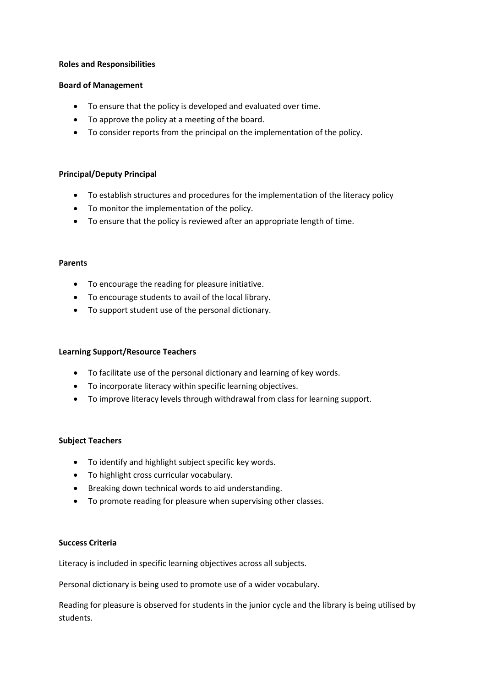#### **Roles and Responsibilities**

#### **Board of Management**

- To ensure that the policy is developed and evaluated over time.
- To approve the policy at a meeting of the board.
- To consider reports from the principal on the implementation of the policy.

## **Principal/Deputy Principal**

- To establish structures and procedures for the implementation of the literacy policy
- To monitor the implementation of the policy.
- To ensure that the policy is reviewed after an appropriate length of time.

#### **Parents**

- To encourage the reading for pleasure initiative.
- To encourage students to avail of the local library.
- To support student use of the personal dictionary.

## **Learning Support/Resource Teachers**

- To facilitate use of the personal dictionary and learning of key words.
- To incorporate literacy within specific learning objectives.
- To improve literacy levels through withdrawal from class for learning support.

#### **Subject Teachers**

- To identify and highlight subject specific key words.
- To highlight cross curricular vocabulary.
- Breaking down technical words to aid understanding.
- To promote reading for pleasure when supervising other classes.

#### **Success Criteria**

Literacy is included in specific learning objectives across all subjects.

Personal dictionary is being used to promote use of a wider vocabulary.

Reading for pleasure is observed for students in the junior cycle and the library is being utilised by students.